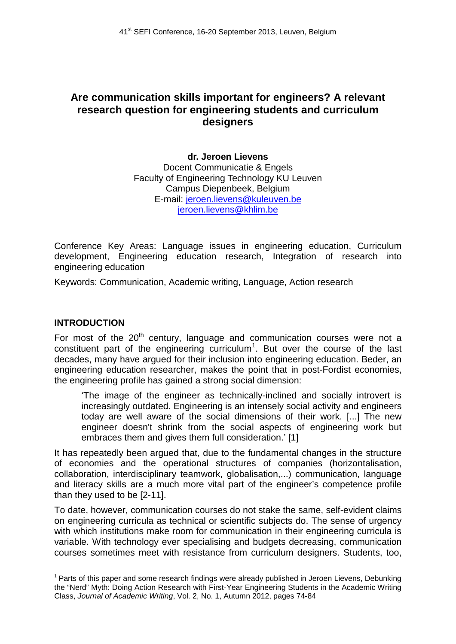# **Are communication skills important for engineers? A relevant research question for engineering students and curriculum designers**

#### **dr. Jeroen Lievens**  Docent Communicatie & Engels Faculty of Engineering Technology KU Leuven Campus Diepenbeek, Belgium E-mail: [jeroen.lievens@kuleuven.be](mailto:jeroen.lievens@kuleuven.be) jeroen.lievens@khlim.be

Conference Key Areas: Language issues in engineering education, Curriculum development, Engineering education research, Integration of research into engineering education

Keywords: Communication, Academic writing, Language, Action research

### **INTRODUCTION**

For most of the  $20<sup>th</sup>$  century, language and communication courses were not a constituent part of the engineering curriculum<sup>[1](#page-1-0)</sup>. But over the course of the last decades, many have argued for their inclusion into engineering education. Beder, an engineering education researcher, makes the point that in post-Fordist economies, the engineering profile has gained a strong social dimension:

'The image of the engineer as technically-inclined and socially introvert is increasingly outdated. Engineering is an intensely social activity and engineers today are well aware of the social dimensions of their work. [...] The new engineer doesn't shrink from the social aspects of engineering work but embraces them and gives them full consideration.' [1]

It has repeatedly been argued that, due to the fundamental changes in the structure of economies and the operational structures of companies (horizontalisation, collaboration, interdisciplinary teamwork, globalisation,...) communication, language and literacy skills are a much more vital part of the engineer's competence profile than they used to be [2-11].

To date, however, communication courses do not stake the same, self-evident claims on engineering curricula as technical or scientific subjects do. The sense of urgency with which institutions make room for communication in their engineering curricula is variable. With technology ever specialising and budgets decreasing, communication courses sometimes meet with resistance from curriculum designers. Students, too,

<span id="page-0-0"></span> $1$  Parts of this paper and some research findings were already published in Jeroen Lievens, Debunking the "Nerd" Myth: Doing Action Research with First-Year Engineering Students in the Academic Writing Class, *Journal of Academic Writing*, Vol. 2, No. 1, Autumn 2012, pages 74-84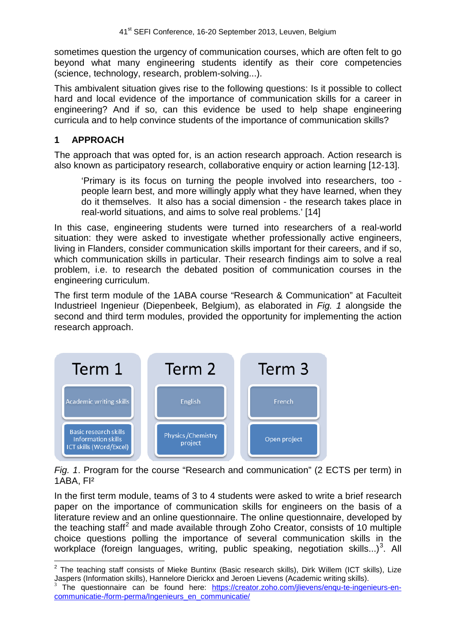sometimes question the urgency of communication courses, which are often felt to go beyond what many engineering students identify as their core competencies (science, technology, research, problem-solving...).

This ambivalent situation gives rise to the following questions: Is it possible to collect hard and local evidence of the importance of communication skills for a career in engineering? And if so, can this evidence be used to help shape engineering curricula and to help convince students of the importance of communication skills?

### **1 APPROACH**

The approach that was opted for, is an action research approach. Action research is also known as participatory research, collaborative enquiry or action learning [12-13].

'Primary is its focus on turning the people involved into researchers, too people learn best, and more willingly apply what they have learned, when they do it themselves. It also has a social dimension - the research takes place in real-world situations, and aims to solve real problems.' [14]

In this case, engineering students were turned into researchers of a real-world situation: they were asked to investigate whether professionally active engineers, living in Flanders, consider communication skills important for their careers, and if so, which communication skills in particular. Their research findings aim to solve a real problem, i.e. to research the debated position of communication courses in the engineering curriculum.

The first term module of the 1ABA course "Research & Communication" at Faculteit Industrieel Ingenieur (Diepenbeek, Belgium), as elaborated in *Fig. 1* alongside the second and third term modules, provided the opportunity for implementing the action research approach.



*Fig. 1*. Program for the course "Research and communication" (2 ECTS per term) in 1ABA, FI²

In the first term module, teams of 3 to 4 students were asked to write a brief research paper on the importance of communication skills for engineers on the basis of a literature review and an online questionnaire. The online questionnaire, developed by the teaching staff<sup>[2](#page-0-0)</sup> and made available through Zoho Creator, consists of 10 multiple choice questions polling the importance of several communication skills in the workplace (foreign languages, writing, public speaking, negotiation skills...)<sup>[3](#page-1-1)</sup>. All

 $2$  The teaching staff consists of Mieke Buntinx (Basic research skills), Dirk Willem (ICT skills), Lize Jaspers (Information skills), Hannelore Dierickx and Jeroen Lievens (Academic writing skills).

<span id="page-1-1"></span><span id="page-1-0"></span>The questionnaire can be found here: [https://creator.zoho.com/jlievens/enqu-te-ingenieurs-en](https://creator.zoho.com/jlievens/enqu-te-ingenieurs-en-communicatie-/form-perma/Ingenieurs_en_communicatie/)[communicatie-/form-perma/Ingenieurs\\_en\\_communicatie/](https://creator.zoho.com/jlievens/enqu-te-ingenieurs-en-communicatie-/form-perma/Ingenieurs_en_communicatie/)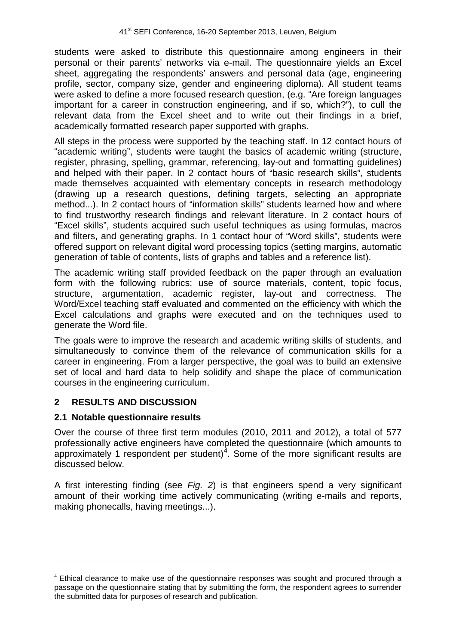students were asked to distribute this questionnaire among engineers in their personal or their parents' networks via e-mail. The questionnaire yields an Excel sheet, aggregating the respondents' answers and personal data (age, engineering profile, sector, company size, gender and engineering diploma). All student teams were asked to define a more focused research question, (e.g. "Are foreign languages important for a career in construction engineering, and if so, which?"), to cull the relevant data from the Excel sheet and to write out their findings in a brief, academically formatted research paper supported with graphs.

All steps in the process were supported by the teaching staff. In 12 contact hours of "academic writing", students were taught the basics of academic writing (structure, register, phrasing, spelling, grammar, referencing, lay-out and formatting guidelines) and helped with their paper. In 2 contact hours of "basic research skills", students made themselves acquainted with elementary concepts in research methodology (drawing up a research questions, defining targets, selecting an appropriate method...). In 2 contact hours of "information skills" students learned how and where to find trustworthy research findings and relevant literature. In 2 contact hours of "Excel skills", students acquired such useful techniques as using formulas, macros and filters, and generating graphs. In 1 contact hour of "Word skills", students were offered support on relevant digital word processing topics (setting margins, automatic generation of table of contents, lists of graphs and tables and a reference list).

The academic writing staff provided feedback on the paper through an evaluation form with the following rubrics: use of source materials, content, topic focus, structure, argumentation, academic register, lay-out and correctness. The Word/Excel teaching staff evaluated and commented on the efficiency with which the Excel calculations and graphs were executed and on the techniques used to generate the Word file.

The goals were to improve the research and academic writing skills of students, and simultaneously to convince them of the relevance of communication skills for a career in engineering. From a larger perspective, the goal was to build an extensive set of local and hard data to help solidify and shape the place of communication courses in the engineering curriculum.

# **2 RESULTS AND DISCUSSION**

#### **2.1 Notable questionnaire results**

-

Over the course of three first term modules (2010, 2011 and 2012), a total of 577 professionally active engineers have completed the questionnaire (which amounts to approximately 1 respondent per student) $4$ . Some of the more significant results are discussed below.

A first interesting finding (see *Fig. 2*) is that engineers spend a very significant amount of their working time actively communicating (writing e-mails and reports, making phonecalls, having meetings...).

<span id="page-2-0"></span> $4$  Ethical clearance to make use of the questionnaire responses was sought and procured through a passage on the questionnaire stating that by submitting the form, the respondent agrees to surrender the submitted data for purposes of research and publication.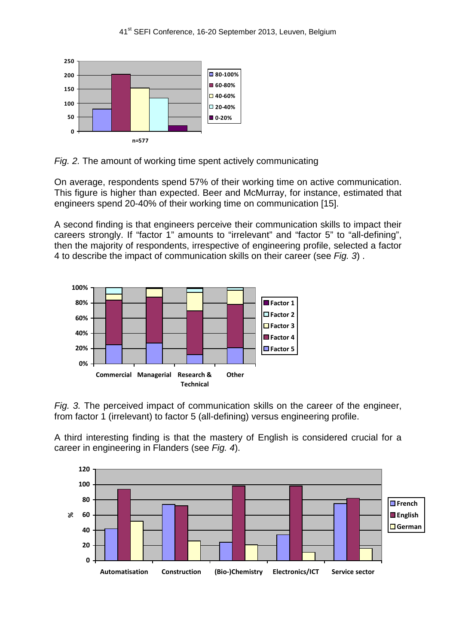



On average, respondents spend 57% of their working time on active communication. This figure is higher than expected. Beer and McMurray, for instance, estimated that engineers spend 20-40% of their working time on communication [15].

A second finding is that engineers perceive their communication skills to impact their careers strongly. If "factor 1" amounts to "irrelevant" and "factor 5" to "all-defining", then the majority of respondents, irrespective of engineering profile, selected a factor 4 to describe the impact of communication skills on their career (see *Fig. 3*) .



*Fig. 3.* The perceived impact of communication skills on the career of the engineer, from factor 1 (irrelevant) to factor 5 (all-defining) versus engineering profile.

A third interesting finding is that the mastery of English is considered crucial for a career in engineering in Flanders (see *Fig. 4*).

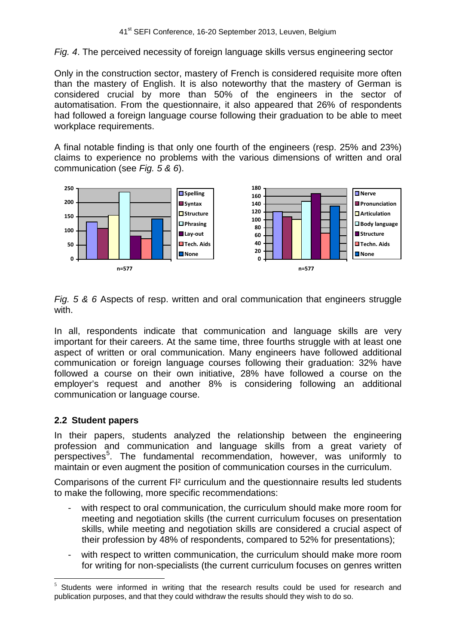*Fig. 4*. The perceived necessity of foreign language skills versus engineering sector

Only in the construction sector, mastery of French is considered requisite more often than the mastery of English. It is also noteworthy that the mastery of German is considered crucial by more than 50% of the engineers in the sector of automatisation. From the questionnaire, it also appeared that 26% of respondents had followed a foreign language course following their graduation to be able to meet workplace requirements.

A final notable finding is that only one fourth of the engineers (resp. 25% and 23%) claims to experience no problems with the various dimensions of written and oral communication (see *Fig. 5 & 6*).



*Fig. 5 & 6* Aspects of resp. written and oral communication that engineers struggle with.

In all, respondents indicate that communication and language skills are very important for their careers. At the same time, three fourths struggle with at least one aspect of written or oral communication. Many engineers have followed additional communication or foreign language courses following their graduation: 32% have followed a course on their own initiative, 28% have followed a course on the employer's request and another 8% is considering following an additional communication or language course.

# **2.2 Student papers**

In their papers, students analyzed the relationship between the engineering profession and communication and language skills from a great variety of perspectives<sup>[5](#page-2-0)</sup>. The fundamental recommendation, however, was uniformly to maintain or even augment the position of communication courses in the curriculum.

Comparisons of the current FI² curriculum and the questionnaire results led students to make the following, more specific recommendations:

- with respect to oral communication, the curriculum should make more room for meeting and negotiation skills (the current curriculum focuses on presentation skills, while meeting and negotiation skills are considered a crucial aspect of their profession by 48% of respondents, compared to 52% for presentations);
- with respect to written communication, the curriculum should make more room for writing for non-specialists (the current curriculum focuses on genres written

Students were informed in writing that the research results could be used for research and publication purposes, and that they could withdraw the results should they wish to do so.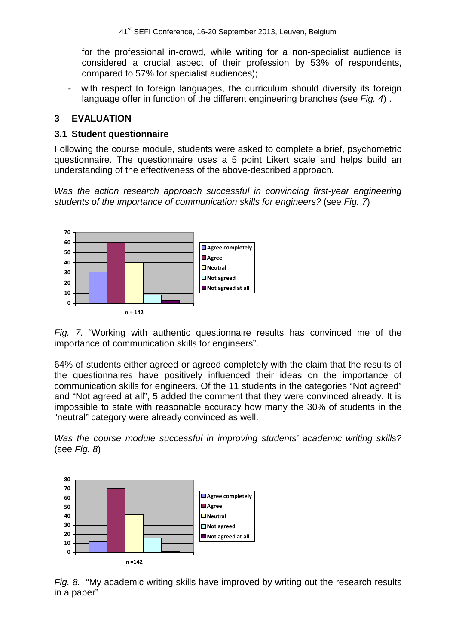for the professional in-crowd, while writing for a non-specialist audience is considered a crucial aspect of their profession by 53% of respondents, compared to 57% for specialist audiences);

with respect to foreign languages, the curriculum should diversify its foreign language offer in function of the different engineering branches (see *Fig. 4*) .

# **3 EVALUATION**

#### **3.1 Student questionnaire**

Following the course module, students were asked to complete a brief, psychometric questionnaire. The questionnaire uses a 5 point Likert scale and helps build an understanding of the effectiveness of the above-described approach.

*Was the action research approach successful in convincing first-year engineering students of the importance of communication skills for engineers?* (see *Fig. 7*)



*Fig. 7.* "Working with authentic questionnaire results has convinced me of the importance of communication skills for engineers".

64% of students either agreed or agreed completely with the claim that the results of the questionnaires have positively influenced their ideas on the importance of communication skills for engineers. Of the 11 students in the categories "Not agreed" and "Not agreed at all", 5 added the comment that they were convinced already. It is impossible to state with reasonable accuracy how many the 30% of students in the "neutral" category were already convinced as well.

*Was the course module successful in improving students' academic writing skills?*  (see *Fig. 8*)



*Fig. 8.* "My academic writing skills have improved by writing out the research results in a paper"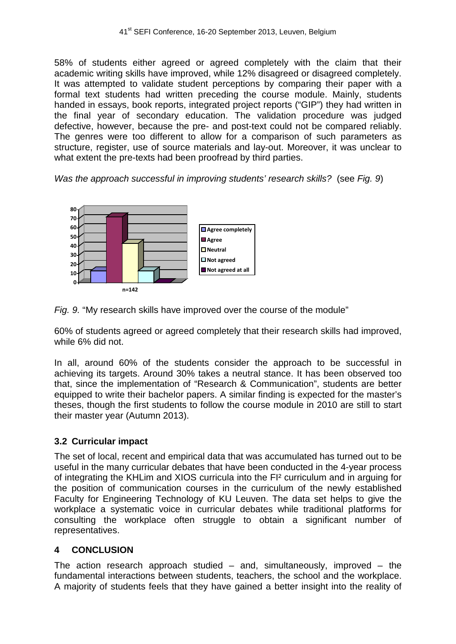58% of students either agreed or agreed completely with the claim that their academic writing skills have improved, while 12% disagreed or disagreed completely. It was attempted to validate student perceptions by comparing their paper with a formal text students had written preceding the course module. Mainly, students handed in essays, book reports, integrated project reports ("GIP") they had written in the final year of secondary education. The validation procedure was judged defective, however, because the pre- and post-text could not be compared reliably. The genres were too different to allow for a comparison of such parameters as structure, register, use of source materials and lay-out. Moreover, it was unclear to what extent the pre-texts had been proofread by third parties.

*Was the approach successful in improving students' research skills?* (see *Fig. 9*)



*Fig. 9.* "My research skills have improved over the course of the module"

60% of students agreed or agreed completely that their research skills had improved, while 6% did not.

In all, around 60% of the students consider the approach to be successful in achieving its targets. Around 30% takes a neutral stance. It has been observed too that, since the implementation of "Research & Communication", students are better equipped to write their bachelor papers. A similar finding is expected for the master's theses, though the first students to follow the course module in 2010 are still to start their master year (Autumn 2013).

# **3.2 Curricular impact**

The set of local, recent and empirical data that was accumulated has turned out to be useful in the many curricular debates that have been conducted in the 4-year process of integrating the KHLim and XIOS curricula into the FI² curriculum and in arguing for the position of communication courses in the curriculum of the newly established Faculty for Engineering Technology of KU Leuven. The data set helps to give the workplace a systematic voice in curricular debates while traditional platforms for consulting the workplace often struggle to obtain a significant number of representatives.

# **4 CONCLUSION**

The action research approach studied  $-$  and, simultaneously, improved  $-$  the fundamental interactions between students, teachers, the school and the workplace. A majority of students feels that they have gained a better insight into the reality of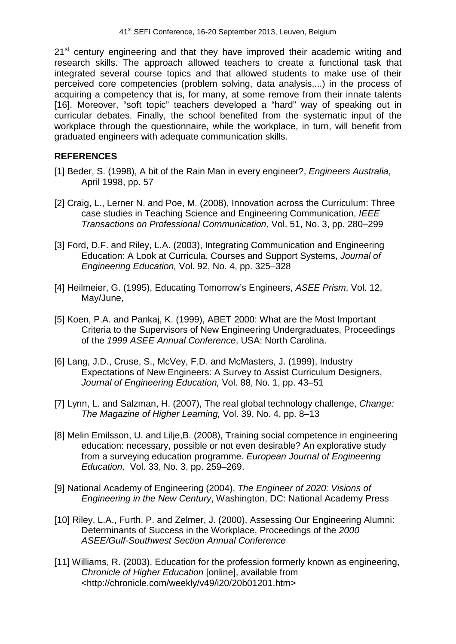21<sup>st</sup> century engineering and that they have improved their academic writing and research skills. The approach allowed teachers to create a functional task that integrated several course topics and that allowed students to make use of their perceived core competencies (problem solving, data analysis,...) in the process of acquiring a competency that is, for many, at some remove from their innate talents [16]. Moreover, "soft topic" teachers developed a "hard" way of speaking out in curricular debates. Finally, the school benefited from the systematic input of the workplace through the questionnaire, while the workplace, in turn, will benefit from graduated engineers with adequate communication skills.

### **REFERENCES**

- [1] Beder, S. (1998), A bit of the Rain Man in every engineer?, *Engineers Australia*, April 1998, pp. 57
- [2] Craig, L., Lerner N. and Poe, M. (2008), Innovation across the Curriculum: Three case studies in Teaching Science and Engineering Communication, *IEEE Transactions on Professional Communication,* Vol. 51, No. 3, pp. 280–299
- [3] Ford, D.F. and Riley, L.A. (2003), Integrating Communication and Engineering Education: A Look at Curricula, Courses and Support Systems, *Journal of Engineering Education,* Vol. 92, No. 4, pp. 325–328
- [4] Heilmeier, G. (1995), Educating Tomorrow's Engineers, *ASEE Prism*, Vol. 12, May/June,
- [5] Koen, P.A. and Pankaj, K. (1999), ABET 2000: What are the Most Important Criteria to the Supervisors of New Engineering Undergraduates, Proceedings of the *1999 ASEE Annual Conference*, USA: North Carolina.
- [6] Lang, J.D., Cruse, S., McVey, F.D. and McMasters, J. (1999), Industry Expectations of New Engineers: A Survey to Assist Curriculum Designers, *Journal of Engineering Education,* Vol. 88, No. 1, pp. 43–51
- [7] Lynn, L. and Salzman, H. (2007), The real global technology challenge, *Change: The Magazine of Higher Learning,* Vol. 39, No. 4, pp. 8–13
- [8] Melin Emilsson, U. and Lilje, B. (2008), Training social competence in engineering education: necessary, possible or not even desirable? An explorative study from a surveying education programme. *European Journal of Engineering Education,* Vol. 33, No. 3, pp. 259–269.
- [9] National Academy of Engineering (2004), *The Engineer of 2020: Visions of Engineering in the New Century*, Washington, DC: National Academy Press
- [10] Riley, L.A., Furth, P. and Zelmer, J. (2000), Assessing Our Engineering Alumni: Determinants of Success in the Workplace, Proceedings of the *2000 ASEE/Gulf-Southwest Section Annual Conference*
- [11] Williams, R. (2003), Education for the profession formerly known as engineering, *Chronicle of Higher Education* [online], available from <http://chronicle.com/weekly/v49/i20/20b01201.htm>